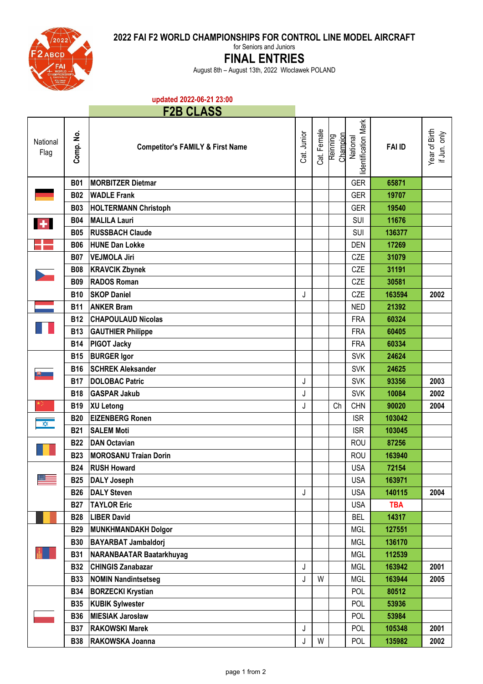**2022 FAI F2 WORLD CHAMPIONSHIPS FOR CONTROL LINE MODEL AIRCRAFT**



for Seniors and Juniors

## **FINAL ENTRIES**

August 8th – August 13th, 2022 Wloclawek POLAND

## **updated 2022-06-21 23:00**

## **F2B CLASS**

| National<br>Flag          | Comp. No.  | <b>Competitor's FAMILY &amp; First Name</b> | Cat. Junior | Cat. Female | Reinning | lidentification Mark<br>Champion<br>National | <b>FAI ID</b> | Year of Birth<br>if Jun. only |
|---------------------------|------------|---------------------------------------------|-------------|-------------|----------|----------------------------------------------|---------------|-------------------------------|
|                           | <b>B01</b> | <b>MORBITZER Dietmar</b>                    |             |             |          | <b>GER</b>                                   | 65871         |                               |
|                           | <b>B02</b> | <b>WADLE Frank</b>                          |             |             |          | <b>GER</b>                                   | 19707         |                               |
|                           | <b>B03</b> | <b>HOLTERMANN Christoph</b>                 |             |             |          | <b>GER</b>                                   | 19540         |                               |
| $\mathbf{A}_{\mathbf{r}}$ | <b>B04</b> | <b>MALILA Lauri</b>                         |             |             |          | SUI                                          | 11676         |                               |
|                           | <b>B05</b> | <b>RUSSBACH Claude</b>                      |             |             |          | <b>SUI</b>                                   | 136377        |                               |
|                           | <b>B06</b> | <b>HUNE Dan Lokke</b>                       |             |             |          | <b>DEN</b>                                   | 17269         |                               |
|                           | <b>B07</b> | <b>VEJMOLA Jiri</b>                         |             |             |          | CZE                                          | 31079         |                               |
|                           | <b>B08</b> | <b>KRAVCIK Zbynek</b>                       |             |             |          | CZE                                          | 31191         |                               |
|                           | <b>B09</b> | <b>RADOS Roman</b>                          |             |             |          | CZE                                          | 30581         |                               |
|                           | <b>B10</b> | <b>SKOP Daniel</b>                          | J           |             |          | CZE                                          | 163594        | 2002                          |
|                           | <b>B11</b> | <b>ANKER Bram</b>                           |             |             |          | <b>NED</b>                                   | 21392         |                               |
|                           | <b>B12</b> | <b>CHAPOULAUD Nicolas</b>                   |             |             |          | <b>FRA</b>                                   | 60324         |                               |
|                           | <b>B13</b> | <b>GAUTHIER Philippe</b>                    |             |             |          | <b>FRA</b>                                   | 60405         |                               |
|                           | <b>B14</b> | <b>PIGOT Jacky</b>                          |             |             |          | <b>FRA</b>                                   | 60334         |                               |
|                           | <b>B15</b> | <b>BURGER Igor</b>                          |             |             |          | <b>SVK</b>                                   | 24624         |                               |
|                           | <b>B16</b> | <b>SCHREK Aleksander</b>                    |             |             |          | <b>SVK</b>                                   | 24625         |                               |
|                           | <b>B17</b> | <b>DOLOBAC Patric</b>                       | J           |             |          | <b>SVK</b>                                   | 93356         | 2003                          |
|                           | <b>B18</b> | <b>GASPAR Jakub</b>                         | J           |             |          | <b>SVK</b>                                   | 10084         | 2002                          |
|                           | <b>B19</b> | <b>XU Letong</b>                            | J           |             | Ch       | <b>CHN</b>                                   | 90020         | 2004                          |
| $\frac{1}{\sqrt{2}}$      | <b>B20</b> | <b>EIZENBERG Ronen</b>                      |             |             |          | <b>ISR</b>                                   | 103042        |                               |
|                           | <b>B21</b> | <b>SALEM Moti</b>                           |             |             |          | <b>ISR</b>                                   | 103045        |                               |
|                           | <b>B22</b> | <b>DAN Octavian</b>                         |             |             |          | <b>ROU</b>                                   | 87256         |                               |
|                           | <b>B23</b> | <b>MOROSANU Traian Dorin</b>                |             |             |          | <b>ROU</b>                                   | 163940        |                               |
|                           | <b>B24</b> | <b>RUSH Howard</b>                          |             |             |          | <b>USA</b>                                   | 72154         |                               |
|                           | <b>B25</b> | <b>DALY Joseph</b>                          |             |             |          | <b>USA</b>                                   | 163971        |                               |
|                           | <b>B26</b> | <b>DALY Steven</b>                          | J           |             |          | <b>USA</b>                                   | 140115        | 2004                          |
|                           | <b>B27</b> | <b>TAYLOR Eric</b>                          |             |             |          | <b>USA</b>                                   | <b>TBA</b>    |                               |
|                           | <b>B28</b> | <b>LIBER David</b>                          |             |             |          | <b>BEL</b>                                   | 14317         |                               |
|                           | <b>B29</b> | <b>MUNKHMANDAKH Dolgor</b>                  |             |             |          | <b>MGL</b>                                   | 127551        |                               |
|                           | <b>B30</b> | <b>BAYARBAT Jambaldorj</b>                  |             |             |          | <b>MGL</b>                                   | 136170        |                               |
|                           | <b>B31</b> | NARANBAATAR Baatarkhuyag                    |             |             |          | MGL                                          | 112539        |                               |
|                           | <b>B32</b> | <b>CHINGIS Zanabazar</b>                    | J           |             |          | MGL                                          | 163942        | 2001                          |
|                           | <b>B33</b> | <b>NOMIN Nandintsetseg</b>                  | J           | W           |          | MGL                                          | 163944        | 2005                          |
|                           | <b>B34</b> | <b>BORZECKI Krystian</b>                    |             |             |          | POL                                          | 80512         |                               |
|                           | <b>B35</b> | <b>KUBIK Sylwester</b>                      |             |             |          | POL                                          | 53936         |                               |
|                           | <b>B36</b> | <b>MIESIAK Jarosław</b>                     |             |             |          | POL                                          | 53984         |                               |
|                           | <b>B37</b> | <b>RAKOWSKI Marek</b>                       | J           |             |          | POL                                          | 105348        | 2001                          |
|                           | <b>B38</b> | RAKOWSKA Joanna                             | J           | W           |          | POL                                          | 135982        | 2002                          |